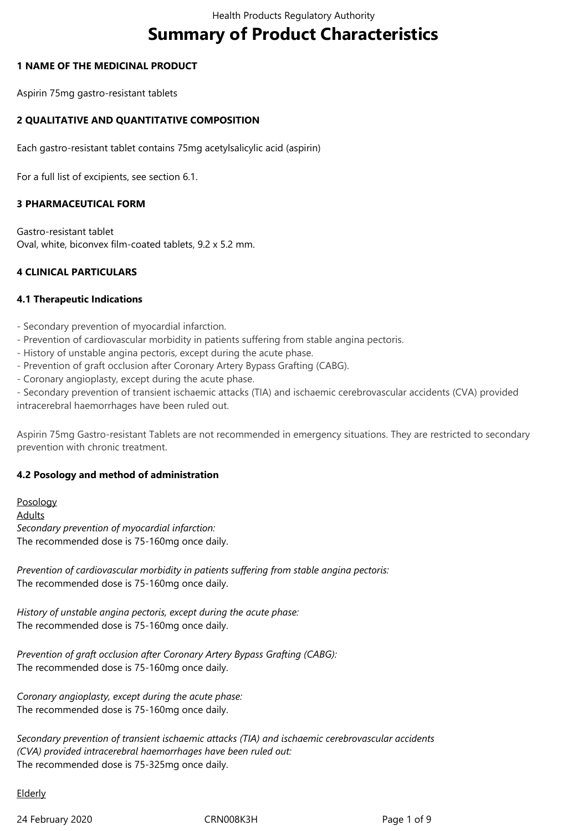# **Summary of Product Characteristics**

#### **1 NAME OF THE MEDICINAL PRODUCT**

Aspirin 75mg gastro-resistant tablets

## **2 QUALITATIVE AND QUANTITATIVE COMPOSITION**

Each gastro-resistant tablet contains 75mg acetylsalicylic acid (aspirin)

For a full list of excipients, see section 6.1.

## **3 PHARMACEUTICAL FORM**

Gastro-resistant tablet Oval, white, biconvex film-coated tablets, 9.2 x 5.2 mm.

## **4 CLINICAL PARTICULARS**

#### **4.1 Therapeutic Indications**

- Secondary prevention of myocardial infarction.
- Prevention of cardiovascular morbidity in patients suffering from stable angina pectoris.
- History of unstable angina pectoris, except during the acute phase.
- Prevention of graft occlusion after Coronary Artery Bypass Grafting (CABG).
- Coronary angioplasty, except during the acute phase.

- Secondary prevention of transient ischaemic attacks (TIA) and ischaemic cerebrovascular accidents (CVA) provided intracerebral haemorrhages have been ruled out.

Aspirin 75mg Gastro-resistant Tablets are not recommended in emergency situations. They are restricted to secondary prevention with chronic treatment.

## **4.2 Posology and method of administration**

Posology Adults *Secondary prevention of myocardial infarction:* The recommended dose is 75-160mg once daily.

*Prevention of cardiovascular morbidity in patients suffering from stable angina pectoris:* The recommended dose is 75-160mg once daily.

*History of unstable angina pectoris, except during the acute phase:* The recommended dose is 75-160mg once daily.

*Prevention of graft occlusion after Coronary Artery Bypass Grafting (CABG):* The recommended dose is 75-160mg once daily.

*Coronary angioplasty, except during the acute phase:* The recommended dose is 75-160mg once daily.

*Secondary prevention of transient ischaemic attacks (TIA) and ischaemic cerebrovascular accidents (CVA) provided intracerebral haemorrhages have been ruled out:* The recommended dose is 75-325mg once daily.

#### **Elderly**

24 February 2020 CRN008K3H Page 1 of 9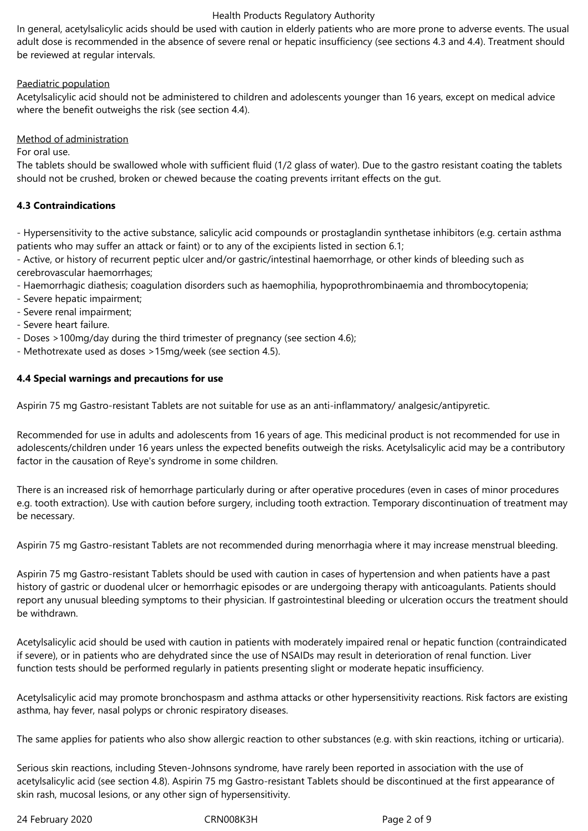In general, acetylsalicylic acids should be used with caution in elderly patients who are more prone to adverse events. The usual adult dose is recommended in the absence of severe renal or hepatic insufficiency (see sections 4.3 and 4.4). Treatment should be reviewed at regular intervals.

## Paediatric population

Acetylsalicylic acid should not be administered to children and adolescents younger than 16 years, except on medical advice where the benefit outweighs the risk (see section 4.4).

## Method of administration

#### For oral use.

The tablets should be swallowed whole with sufficient fluid (1/2 glass of water). Due to the gastro resistant coating the tablets should not be crushed, broken or chewed because the coating prevents irritant effects on the gut.

## **4.3 Contraindications**

- Hypersensitivity to the active substance, salicylic acid compounds or prostaglandin synthetase inhibitors (e.g. certain asthma patients who may suffer an attack or faint) or to any of the excipients listed in section 6.1;

- Active, or history of recurrent peptic ulcer and/or gastric/intestinal haemorrhage, or other kinds of bleeding such as cerebrovascular haemorrhages;

- Haemorrhagic diathesis; coagulation disorders such as haemophilia, hypoprothrombinaemia and thrombocytopenia;
- Severe hepatic impairment;
- Severe renal impairment;
- Severe heart failure.
- Doses >100mg/day during the third trimester of pregnancy (see section 4.6);
- Methotrexate used as doses >15mg/week (see section 4.5).

## **4.4 Special warnings and precautions for use**

Aspirin 75 mg Gastro-resistant Tablets are not suitable for use as an anti-inflammatory/ analgesic/antipyretic.

Recommended for use in adults and adolescents from 16 years of age. This medicinal product is not recommended for use in adolescents/children under 16 years unless the expected benefits outweigh the risks. Acetylsalicylic acid may be a contributory factor in the causation of Reye's syndrome in some children.

There is an increased risk of hemorrhage particularly during or after operative procedures (even in cases of minor procedures e.g. tooth extraction). Use with caution before surgery, including tooth extraction. Temporary discontinuation of treatment may be necessary.

Aspirin 75 mg Gastro-resistant Tablets are not recommended during menorrhagia where it may increase menstrual bleeding.

Aspirin 75 mg Gastro-resistant Tablets should be used with caution in cases of hypertension and when patients have a past history of gastric or duodenal ulcer or hemorrhagic episodes or are undergoing therapy with anticoagulants. Patients should report any unusual bleeding symptoms to their physician. If gastrointestinal bleeding or ulceration occurs the treatment should be withdrawn.

Acetylsalicylic acid should be used with caution in patients with moderately impaired renal or hepatic function (contraindicated if severe), or in patients who are dehydrated since the use of NSAIDs may result in deterioration of renal function. Liver function tests should be performed regularly in patients presenting slight or moderate hepatic insufficiency.

Acetylsalicylic acid may promote bronchospasm and asthma attacks or other hypersensitivity reactions. Risk factors are existing asthma, hay fever, nasal polyps or chronic respiratory diseases.

The same applies for patients who also show allergic reaction to other substances (e.g. with skin reactions, itching or urticaria).

Serious skin reactions, including Steven-Johnsons syndrome, have rarely been reported in association with the use of acetylsalicylic acid (see section 4.8). Aspirin 75 mg Gastro-resistant Tablets should be discontinued at the first appearance of skin rash, mucosal lesions, or any other sign of hypersensitivity.

24 February 2020 CRN008K3H Page 2 of 9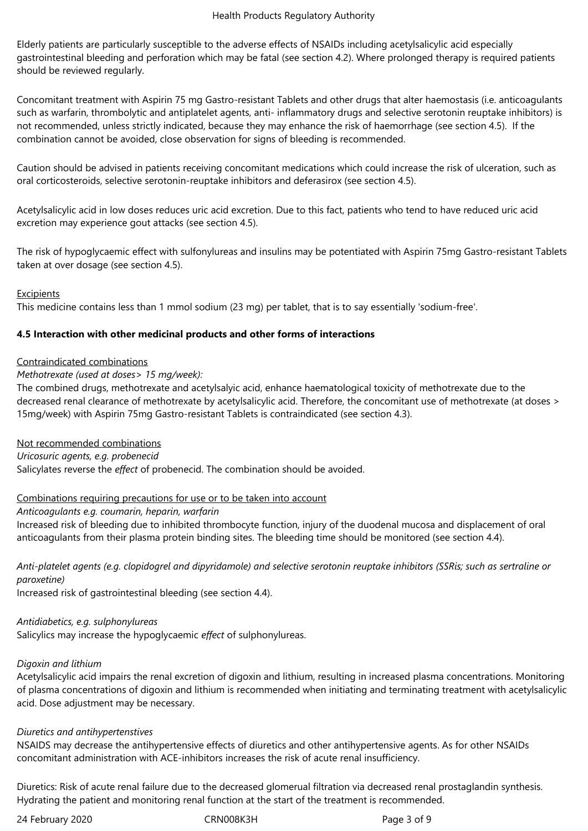Elderly patients are particularly susceptible to the adverse effects of NSAIDs including acetylsalicylic acid especially gastrointestinal bleeding and perforation which may be fatal (see section 4.2). Where prolonged therapy is required patients should be reviewed regularly.

Concomitant treatment with Aspirin 75 mg Gastro-resistant Tablets and other drugs that alter haemostasis (i.e. anticoagulants such as warfarin, thrombolytic and antiplatelet agents, anti- inflammatory drugs and selective serotonin reuptake inhibitors) is not recommended, unless strictly indicated, because they may enhance the risk of haemorrhage (see section 4.5). If the combination cannot be avoided, close observation for signs of bleeding is recommended.

Caution should be advised in patients receiving concomitant medications which could increase the risk of ulceration, such as oral corticosteroids, selective serotonin-reuptake inhibitors and deferasirox (see section 4.5).

Acetylsalicylic acid in low doses reduces uric acid excretion. Due to this fact, patients who tend to have reduced uric acid excretion may experience gout attacks (see section 4.5).

The risk of hypoglycaemic effect with sulfonylureas and insulins may be potentiated with Aspirin 75mg Gastro-resistant Tablets taken at over dosage (see section 4.5).

#### **Excipients**

This medicine contains less than 1 mmol sodium (23 mg) per tablet, that is to say essentially 'sodium-free'.

## **4.5 Interaction with other medicinal products and other forms of interactions**

#### Contraindicated combinations

#### *Methotrexate (used at doses> 15 mg/week):*

The combined drugs, methotrexate and acetylsalyic acid, enhance haematological toxicity of methotrexate due to the decreased renal clearance of methotrexate by acetylsalicylic acid. Therefore, the concomitant use of methotrexate (at doses > 15mg/week) with Aspirin 75mg Gastro-resistant Tablets is contraindicated (see section 4.3).

#### Not recommended combinations

*Uricosuric agents, e.g. probenecid* Salicylates reverse the *effect* of probenecid. The combination should be avoided.

#### Combinations requiring precautions for use or to be taken into account

*Anticoagulants e.g. coumarin, heparin, warfarin*

Increased risk of bleeding due to inhibited thrombocyte function, injury of the duodenal mucosa and displacement of oral anticoagulants from their plasma protein binding sites. The bleeding time should be monitored (see section 4.4).

*Anti-platelet agents (e.g. clopidogrel and dipyridamole) and selective serotonin reuptake inhibitors (SSRis; such as sertraline or paroxetine)*

Increased risk of gastrointestinal bleeding (see section 4.4).

#### *Antidiabetics, e.g. sulphonylureas*

Salicylics may increase the hypoglycaemic *effect* of sulphonylureas.

#### *Digoxin and lithium*

Acetylsalicylic acid impairs the renal excretion of digoxin and lithium, resulting in increased plasma concentrations. Monitoring of plasma concentrations of digoxin and lithium is recommended when initiating and terminating treatment with acetylsalicylic acid. Dose adjustment may be necessary.

#### *Diuretics and antihypertenstives*

NSAIDS may decrease the antihypertensive effects of diuretics and other antihypertensive agents. As for other NSAIDs concomitant administration with ACE-inhibitors increases the risk of acute renal insufficiency.

Diuretics: Risk of acute renal failure due to the decreased glomerual filtration via decreased renal prostaglandin synthesis. Hydrating the patient and monitoring renal function at the start of the treatment is recommended.

24 February 2020 CRN008K3H Page 3 of 9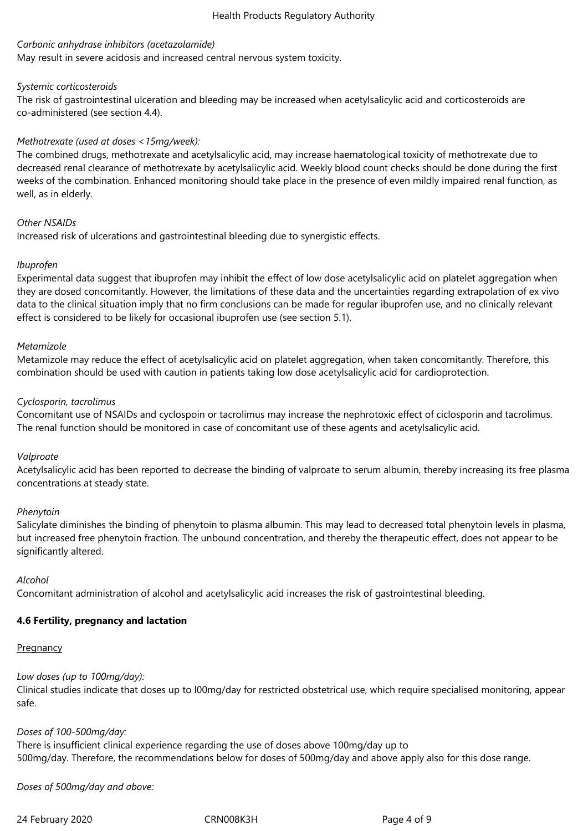#### *Carbonic anhydrase inhibitors (acetazolamide)*

May result in severe acidosis and increased central nervous system toxicity.

#### *Systemic corticosteroids*

The risk of gastrointestinal ulceration and bleeding may be increased when acetylsalicylic acid and corticosteroids are co-administered (see section 4.4).

## *Methotrexate (used at doses <15mg/week):*

The combined drugs, methotrexate and acetylsalicylic acid, may increase haematological toxicity of methotrexate due to decreased renal clearance of methotrexate by acetylsalicylic acid. Weekly blood count checks should be done during the first weeks of the combination. Enhanced monitoring should take place in the presence of even mildly impaired renal function, as well, as in elderly.

#### *Other NSAIDs*

Increased risk of ulcerations and gastrointestinal bleeding due to synergistic effects.

#### *Ibuprofen*

Experimental data suggest that ibuprofen may inhibit the effect of low dose acetylsalicylic acid on platelet aggregation when they are dosed concomitantly. However, the limitations of these data and the uncertainties regarding extrapolation of ex vivo data to the clinical situation imply that no firm conclusions can be made for regular ibuprofen use, and no clinically relevant effect is considered to be likely for occasional ibuprofen use (see section 5.1).

#### *Metamizole*

Metamizole may reduce the effect of acetylsalicylic acid on platelet aggregation, when taken concomitantly. Therefore, this combination should be used with caution in patients taking low dose acetylsalicylic acid for cardioprotection.

#### *Cyclosporin, tacrolimus*

Concomitant use of NSAIDs and cyclospoin or tacrolimus may increase the nephrotoxic effect of ciclosporin and tacrolimus. The renal function should be monitored in case of concomitant use of these agents and acetylsalicylic acid.

#### *Valproate*

Acetylsalicylic acid has been reported to decrease the binding of valproate to serum albumin, thereby increasing its free plasma concentrations at steady state.

#### *Phenytoin*

Salicylate diminishes the binding of phenytoin to plasma albumin. This may lead to decreased total phenytoin levels in plasma, but increased free phenytoin fraction. The unbound concentration, and thereby the therapeutic effect, does not appear to be significantly altered.

*Alcohol*

Concomitant administration of alcohol and acetylsalicylic acid increases the risk of gastrointestinal bleeding.

# **4.6 Fertility, pregnancy and lactation**

## **Pregnancy**

# *Low doses (up to 100mg/day):*

Clinical studies indicate that doses up to l00mg/day for restricted obstetrical use, which require specialised monitoring, appear safe.

## *Doses of 100-500mg/day:*

There is insufficient clinical experience regarding the use of doses above 100mg/day up to 500mg/day. Therefore, the recommendations below for doses of 500mg/day and above apply also for this dose range.

*Doses of 500mg/day and above:*

24 February 2020 CRN008K3H Page 4 of 9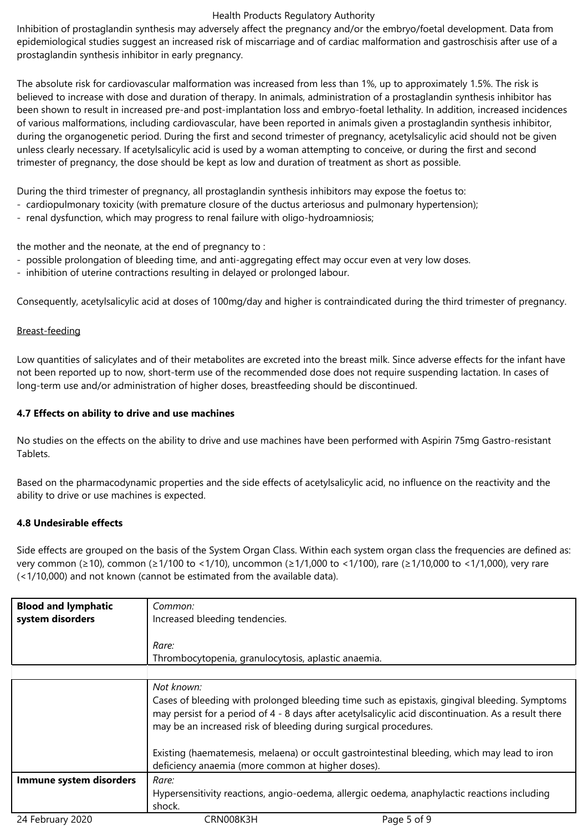Inhibition of prostaglandin synthesis may adversely affect the pregnancy and/or the embryo/foetal development. Data from epidemiological studies suggest an increased risk of miscarriage and of cardiac malformation and gastroschisis after use of a prostaglandin synthesis inhibitor in early pregnancy.

The absolute risk for cardiovascular malformation was increased from less than 1%, up to approximately 1.5%. The risk is believed to increase with dose and duration of therapy. In animals, administration of a prostaglandin synthesis inhibitor has been shown to result in increased pre-and post-implantation loss and embryo-foetal lethality. In addition, increased incidences of various malformations, including cardiovascular, have been reported in animals given a prostaglandin synthesis inhibitor, during the organogenetic period. During the first and second trimester of pregnancy, acetylsalicylic acid should not be given unless clearly necessary. If acetylsalicylic acid is used by a woman attempting to conceive, or during the first and second trimester of pregnancy, the dose should be kept as low and duration of treatment as short as possible.

During the third trimester of pregnancy, all prostaglandin synthesis inhibitors may expose the foetus to:

- cardiopulmonary toxicity (with premature closure of the ductus arteriosus and pulmonary hypertension);
- renal dysfunction, which may progress to renal failure with oligo-hydroamniosis;

the mother and the neonate, at the end of pregnancy to :

- possible prolongation of bleeding time, and anti-aggregating effect may occur even at very low doses.
- inhibition of uterine contractions resulting in delayed or prolonged labour.

Consequently, acetylsalicylic acid at doses of 100mg/day and higher is contraindicated during the third trimester of pregnancy.

## Breast-feeding

Low quantities of salicylates and of their metabolites are excreted into the breast milk. Since adverse effects for the infant have not been reported up to now, short-term use of the recommended dose does not require suspending lactation. In cases of long-term use and/or administration of higher doses, breastfeeding should be discontinued.

## **4.7 Effects on ability to drive and use machines**

No studies on the effects on the ability to drive and use machines have been performed with Aspirin 75mg Gastro-resistant Tablets.

Based on the pharmacodynamic properties and the side effects of acetylsalicylic acid, no influence on the reactivity and the ability to drive or use machines is expected.

## **4.8 Undesirable effects**

Side effects are grouped on the basis of the System Organ Class. Within each system organ class the frequencies are defined as: very common (≥10), common (≥1/100 to <1/10), uncommon (≥1/1,000 to <1/100), rare (≥1/10,000 to <1/1,000), very rare (<1/10,000) and not known (cannot be estimated from the available data).

| <b>Blood and lymphatic</b> | Common:                                                                                                                                                                                                                                                                   |
|----------------------------|---------------------------------------------------------------------------------------------------------------------------------------------------------------------------------------------------------------------------------------------------------------------------|
| system disorders           | Increased bleeding tendencies.                                                                                                                                                                                                                                            |
|                            |                                                                                                                                                                                                                                                                           |
|                            | Rare:                                                                                                                                                                                                                                                                     |
|                            | Thrombocytopenia, granulocytosis, aplastic anaemia.                                                                                                                                                                                                                       |
|                            |                                                                                                                                                                                                                                                                           |
|                            | Not known:                                                                                                                                                                                                                                                                |
|                            | Cases of bleeding with prolonged bleeding time such as epistaxis, gingival bleeding. Symptoms<br>may persist for a period of 4 - 8 days after acetylsalicylic acid discontinuation. As a result there<br>may be an increased risk of bleeding during surgical procedures. |
|                            | Existing (haematemesis, melaena) or occult gastrointestinal bleeding, which may lead to iron<br>deficiency anaemia (more common at higher doses).                                                                                                                         |
| Immune system disorders    | Rare:                                                                                                                                                                                                                                                                     |
|                            | Hypersensitivity reactions, angio-oedema, allergic oedema, anaphylactic reactions including<br>shock.                                                                                                                                                                     |
| 24 February 2020           | CRN008K3H<br>Page 5 of 9                                                                                                                                                                                                                                                  |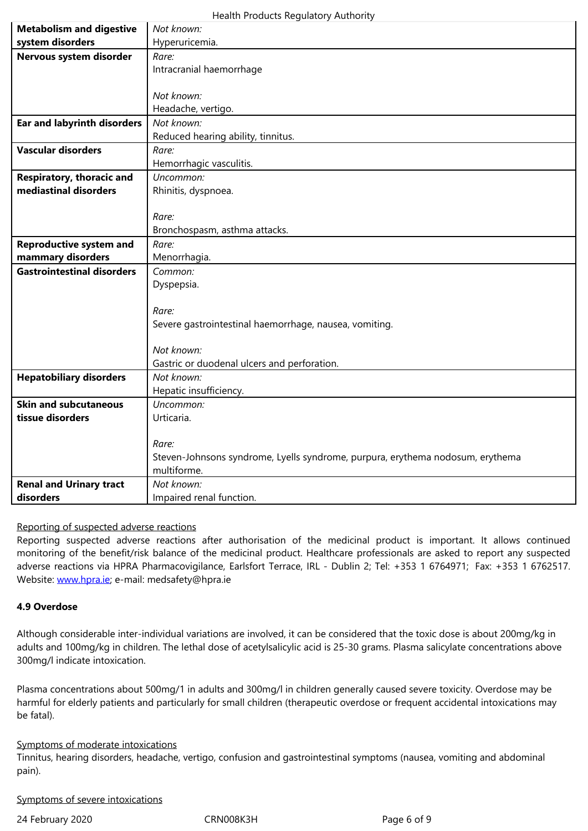| Nervous system disorder                          | Rare:                                                                          |
|--------------------------------------------------|--------------------------------------------------------------------------------|
|                                                  | Intracranial haemorrhage                                                       |
|                                                  |                                                                                |
|                                                  | Not known:                                                                     |
|                                                  | Headache, vertigo.                                                             |
| <b>Ear and labyrinth disorders</b>               | Not known:                                                                     |
|                                                  | Reduced hearing ability, tinnitus.                                             |
| <b>Vascular disorders</b>                        | Rare:                                                                          |
|                                                  | Hemorrhagic vasculitis.                                                        |
| Respiratory, thoracic and                        | Uncommon:                                                                      |
| mediastinal disorders                            | Rhinitis, dyspnoea.                                                            |
|                                                  |                                                                                |
|                                                  | Rare:                                                                          |
|                                                  | Bronchospasm, asthma attacks.                                                  |
| <b>Reproductive system and</b>                   | Rare:                                                                          |
| mammary disorders                                | Menorrhagia.                                                                   |
| <b>Gastrointestinal disorders</b>                | Common:                                                                        |
|                                                  | Dyspepsia.                                                                     |
|                                                  |                                                                                |
|                                                  | Rare:                                                                          |
|                                                  | Severe gastrointestinal haemorrhage, nausea, vomiting.                         |
|                                                  |                                                                                |
|                                                  | Not known:                                                                     |
|                                                  | Gastric or duodenal ulcers and perforation.                                    |
| <b>Hepatobiliary disorders</b>                   | Not known:                                                                     |
|                                                  | Hepatic insufficiency.                                                         |
| <b>Skin and subcutaneous</b><br>tissue disorders | Uncommon:                                                                      |
|                                                  | Urticaria.                                                                     |
|                                                  | Rare:                                                                          |
|                                                  | Steven-Johnsons syndrome, Lyells syndrome, purpura, erythema nodosum, erythema |
|                                                  | multiforme.                                                                    |
| <b>Renal and Urinary tract</b>                   | Not known:                                                                     |
| disorders                                        | Impaired renal function.                                                       |

#### Reporting of suspected adverse reactions

Reporting suspected adverse reactions after authorisation of the medicinal product is important. It allows continued monitoring of the benefit/risk balance of the medicinal product. Healthcare professionals are asked to report any suspected adverse reactions via HPRA Pharmacovigilance, Earlsfort Terrace, IRL - Dublin 2; Tel: +353 1 6764971; Fax: +353 1 6762517. Website: www.hpra.ie; e-mail: medsafety@hpra.ie

#### **4.9 Overdose**

Althoug[h considerable](http://www.hpra.ie/) inter-individual variations are involved, it can be considered that the toxic dose is about 200mg/kg in adults and 100mg/kg in children. The lethal dose of acetylsalicylic acid is 25-30 grams. Plasma salicylate concentrations above 300mg/l indicate intoxication.

Plasma concentrations about 500mg/1 in adults and 300mg/l in children generally caused severe toxicity. Overdose may be harmful for elderly patients and particularly for small children (therapeutic overdose or frequent accidental intoxications may be fatal).

## Symptoms of moderate intoxications

Tinnitus, hearing disorders, headache, vertigo, confusion and gastrointestinal symptoms (nausea, vomiting and abdominal pain).

Symptoms of severe intoxications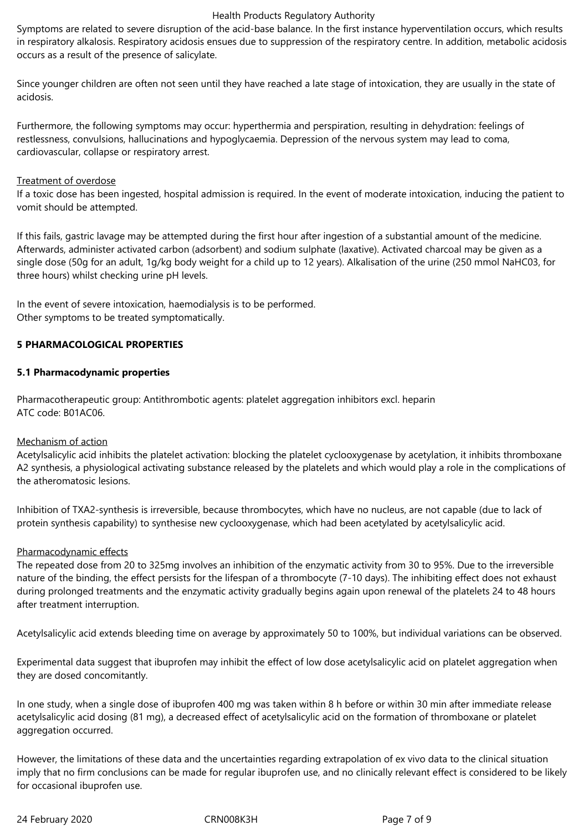Symptoms are related to severe disruption of the acid-base balance. In the first instance hyperventilation occurs, which results in respiratory alkalosis. Respiratory acidosis ensues due to suppression of the respiratory centre. In addition, metabolic acidosis occurs as a result of the presence of salicylate.

Since younger children are often not seen until they have reached a late stage of intoxication, they are usually in the state of acidosis.

Furthermore, the following symptoms may occur: hyperthermia and perspiration, resulting in dehydration: feelings of restlessness, convulsions, hallucinations and hypoglycaemia. Depression of the nervous system may lead to coma, cardiovascular, collapse or respiratory arrest.

#### Treatment of overdose

If a toxic dose has been ingested, hospital admission is required. In the event of moderate intoxication, inducing the patient to vomit should be attempted.

If this fails, gastric lavage may be attempted during the first hour after ingestion of a substantial amount of the medicine. Afterwards, administer activated carbon (adsorbent) and sodium sulphate (laxative). Activated charcoal may be given as a single dose (50g for an adult, 1g/kg body weight for a child up to 12 years). Alkalisation of the urine (250 mmol NaHC03, for three hours) whilst checking urine pH levels.

In the event of severe intoxication, haemodialysis is to be performed. Other symptoms to be treated symptomatically.

#### **5 PHARMACOLOGICAL PROPERTIES**

#### **5.1 Pharmacodynamic properties**

Pharmacotherapeutic group: Antithrombotic agents: platelet aggregation inhibitors excl. heparin ATC code: B01AC06.

#### Mechanism of action

Acetylsalicylic acid inhibits the platelet activation: blocking the platelet cyclooxygenase by acetylation, it inhibits thromboxane A2 synthesis, a physiological activating substance released by the platelets and which would play a role in the complications of the atheromatosic lesions.

Inhibition of TXA2-synthesis is irreversible, because thrombocytes, which have no nucleus, are not capable (due to lack of protein synthesis capability) to synthesise new cyclooxygenase, which had been acetylated by acetylsalicylic acid.

#### Pharmacodynamic effects

The repeated dose from 20 to 325mg involves an inhibition of the enzymatic activity from 30 to 95%. Due to the irreversible nature of the binding, the effect persists for the lifespan of a thrombocyte (7-10 days). The inhibiting effect does not exhaust during prolonged treatments and the enzymatic activity gradually begins again upon renewal of the platelets 24 to 48 hours after treatment interruption.

Acetylsalicylic acid extends bleeding time on average by approximately 50 to 100%, but individual variations can be observed.

Experimental data suggest that ibuprofen may inhibit the effect of low dose acetylsalicylic acid on platelet aggregation when they are dosed concomitantly.

In one study, when a single dose of ibuprofen 400 mg was taken within 8 h before or within 30 min after immediate release acetylsalicylic acid dosing (81 mg), a decreased effect of acetylsalicylic acid on the formation of thromboxane or platelet aggregation occurred.

However, the limitations of these data and the uncertainties regarding extrapolation of ex vivo data to the clinical situation imply that no firm conclusions can be made for regular ibuprofen use, and no clinically relevant effect is considered to be likely for occasional ibuprofen use.

24 February 2020 CRN008K3H Page 7 of 9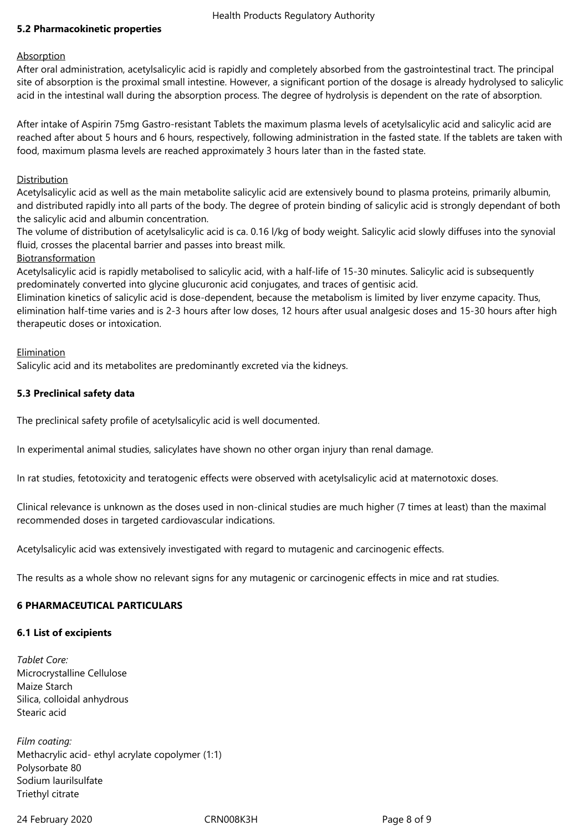#### **5.2 Pharmacokinetic properties**

#### **Absorption**

After oral administration, acetylsalicylic acid is rapidly and completely absorbed from the gastrointestinal tract. The principal site of absorption is the proximal small intestine. However, a significant portion of the dosage is already hydrolysed to salicylic acid in the intestinal wall during the absorption process. The degree of hydrolysis is dependent on the rate of absorption.

After intake of Aspirin 75mg Gastro-resistant Tablets the maximum plasma levels of acetylsalicylic acid and salicylic acid are reached after about 5 hours and 6 hours, respectively, following administration in the fasted state. If the tablets are taken with food, maximum plasma levels are reached approximately 3 hours later than in the fasted state.

#### Distribution

Acetylsalicylic acid as well as the main metabolite salicylic acid are extensively bound to plasma proteins, primarily albumin, and distributed rapidly into all parts of the body. The degree of protein binding of salicylic acid is strongly dependant of both the salicylic acid and albumin concentration.

The volume of distribution of acetylsalicylic acid is ca. 0.16 l/kg of body weight. Salicylic acid slowly diffuses into the synovial fluid, crosses the placental barrier and passes into breast milk.

#### Biotransformation

Acetylsalicylic acid is rapidly metabolised to salicylic acid, with a half-life of 15-30 minutes. Salicylic acid is subsequently predominately converted into glycine glucuronic acid conjugates, and traces of gentisic acid.

Elimination kinetics of salicylic acid is dose-dependent, because the metabolism is limited by liver enzyme capacity. Thus, elimination half-time varies and is 2-3 hours after low doses, 12 hours after usual analgesic doses and 15-30 hours after high therapeutic doses or intoxication.

#### Elimination

Salicylic acid and its metabolites are predominantly excreted via the kidneys.

#### **5.3 Preclinical safety data**

The preclinical safety profile of acetylsalicylic acid is well documented.

In experimental animal studies, salicylates have shown no other organ injury than renal damage.

In rat studies, fetotoxicity and teratogenic effects were observed with acetylsalicylic acid at maternotoxic doses.

Clinical relevance is unknown as the doses used in non-clinical studies are much higher (7 times at least) than the maximal recommended doses in targeted cardiovascular indications.

Acetylsalicylic acid was extensively investigated with regard to mutagenic and carcinogenic effects.

The results as a whole show no relevant signs for any mutagenic or carcinogenic effects in mice and rat studies.

#### **6 PHARMACEUTICAL PARTICULARS**

#### **6.1 List of excipients**

*Tablet Core:* Microcrystalline Cellulose Maize Starch Silica, colloidal anhydrous Stearic acid

*Film coating:* Methacrylic acid- ethyl acrylate copolymer (1:1) Polysorbate 80 Sodium laurilsulfate Triethyl citrate

24 February 2020 CRN008K3H Page 8 of 9